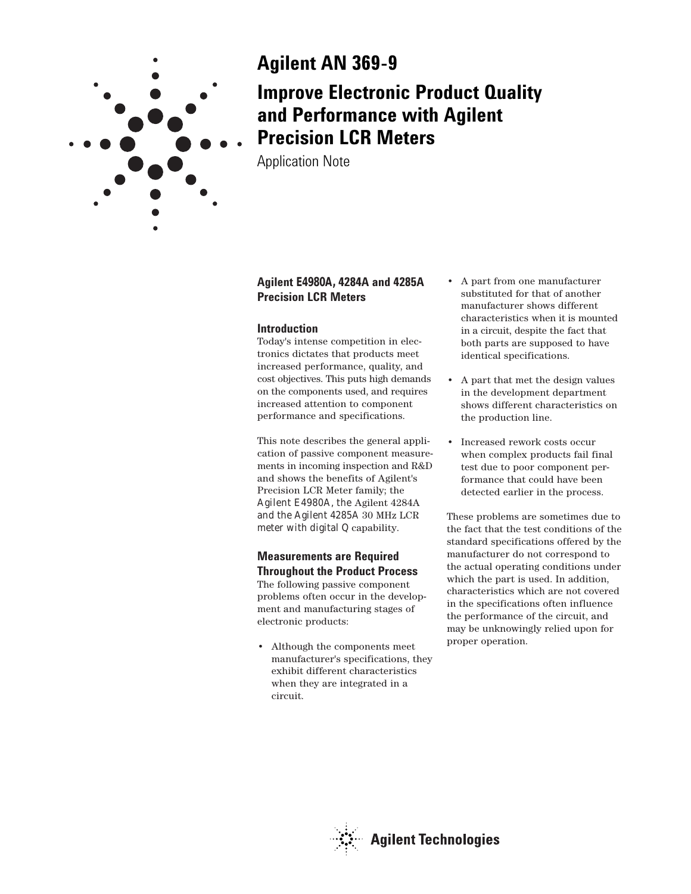

# **Agilent AN 369-9 Improve Electronic Product Quality and Performance with Agilent Precision LCR Meters**

Application Note

# **Agilent E4980A, 4284A and 4285A Precision LCR Meters**

## **Introduction**

Today's intense competition in electronics dictates that products meet increased performance, quality, and cost objectives. This puts high demands on the components used, and requires increased attention to component performance and specifications.

This note describes the general application of passive component measurements in incoming inspection and R&D and shows the benefits of Agilent's Precision LCR Meter family; the Agilent E4980A, the Agilent 4284A and the Agilent 4285A 30 MHz LCR meter with digital Q capability.

# **Measurements are Required Throughout the Product Process**

The following passive component problems often occur in the development and manufacturing stages of electronic products:

• Although the components meet manufacturer's specifications, they exhibit different characteristics when they are integrated in a circuit.

- A part from one manufacturer substituted for that of another manufacturer shows different characteristics when it is mounted in a circuit, despite the fact that both parts are supposed to have identical specifications.
- A part that met the design values in the development department shows different characteristics on the production line.
- Increased rework costs occur when complex products fail final test due to poor component performance that could have been detected earlier in the process.

These problems are sometimes due to the fact that the test conditions of the standard specifications offered by the manufacturer do not correspond to the actual operating conditions under which the part is used. In addition, characteristics which are not covered in the specifications often influence the performance of the circuit, and may be unknowingly relied upon for proper operation.

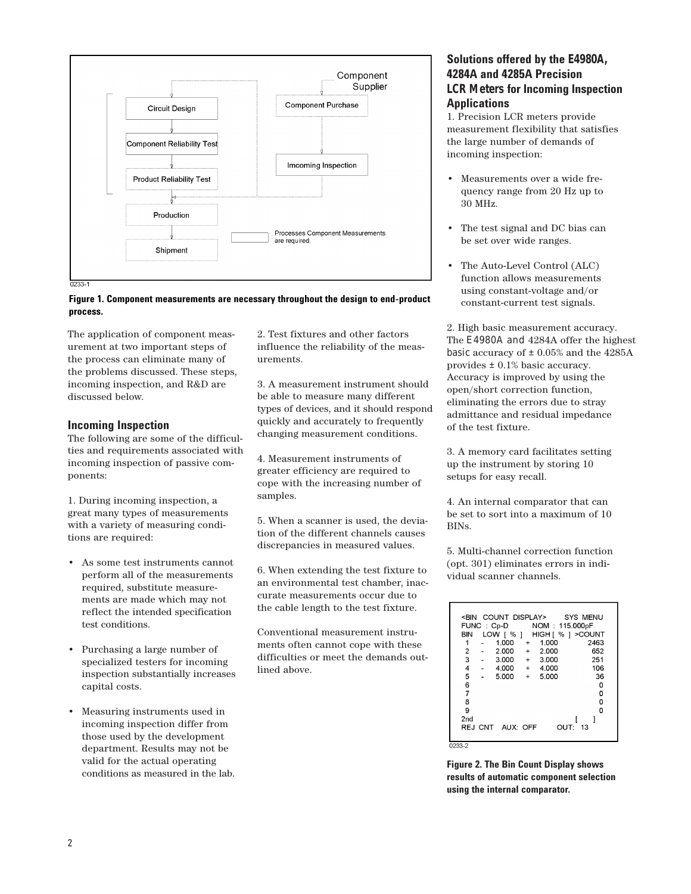

#### **Figure 1. Component measurements are necessary throughout the design to end-product process.**

The application of component measurement at two important steps of the process can eliminate many of the problems discussed. These steps, incoming inspection, and R&D are discussed below.

## **Incoming Inspection**

The following are some of the difficulties and requirements associated with incoming inspection of passive components:

1. During incoming inspection, a great many types of measurements with a variety of measuring conditions are required:

- As some test instruments cannot perform all of the measurements required, substitute measurements are made which may not reflect the intended specification test conditions.
- Purchasing a large number of specialized testers for incoming inspection substantially increases capital costs.
- Measuring instruments used in incoming inspection differ from those used by the development department. Results may not be valid for the actual operating conditions as measured in the lab.

2. Test fixtures and other factors influence the reliability of the measurements.

3. A measurement instrument should be able to measure many different types of devices, and it should respond quickly and accurately to frequently changing measurement conditions.

4. Measurement instruments of greater efficiency are required to cope with the increasing number of samples.

5. When a scanner is used, the deviation of the different channels causes discrepancies in measured values.

6. When extending the test fixture to an environmental test chamber, inaccurate measurements occur due to the cable length to the test fixture.

Conventional measurement instruments often cannot cope with these difficulties or meet the demands outlined above.

# **Solutions offered by the E4980A, 4284A and 4285A Precision LCR Meters for lncoming lnspection Applications**

1. Precision LCR meters provide measurement flexibility that satisfies the large number of demands of incoming inspection:

- Measurements over a wide frequency range from 20 Hz up to 30 MHz.
- The test signal and DC bias can be set over wide ranges.
- The Auto-Level Control (ALC) function allows measurements using constant-voltage and/or constant-current test signals.

2. High basic measurement accuracy. The E4980A and 4284A offer the highest basic accuracy of  $\pm$  0.05% and the 4285A provides ± 0.1% basic accuracy. Accuracy is improved by using the open/short correction function, eliminating the errors due to stray admittance and residual impedance of the test fixture.

3. A memory card facilitates setting up the instrument by storing 10 setups for easy recall.

4. An internal comparator that can be set to sort into a maximum of 10 BINs.

5. Multi-channel correction function (opt. 301) eliminates errors in individual scanner channels.

|                |                  | <bin count="" display=""> SYS MENU</bin> |                   |      |
|----------------|------------------|------------------------------------------|-------------------|------|
|                |                  | FUNC: Cp-D NOM: 115.000pF                |                   |      |
| BIN            | LOW [ % ]        | HIGH [ % ] > COUNT                       |                   |      |
| 1              | $1.000 +$        | 1.000                                    |                   | 2463 |
| $\overline{2}$ |                  | $2.000 + 2.000$                          |                   | 652  |
| 3              | $-3.000 + 3.000$ |                                          |                   | 251  |
| 4              |                  | $-4.000 + 4.000$                         |                   | 106  |
| 5              | $5.000 + 5.000$  |                                          |                   | 36   |
| 6              |                  |                                          |                   | 0    |
| $\overline{7}$ |                  |                                          |                   | ٥    |
| 8              |                  |                                          |                   | 0    |
| 9              |                  |                                          |                   | ٥    |
| 2nd            |                  |                                          |                   |      |
|                | REJ CNT AUX: OFF |                                          | $O$ UT $\cdot$ 13 |      |
|                |                  |                                          |                   |      |
| 0233-2         |                  |                                          |                   |      |

**Figure 2. The Bin Count Display shows results of automatic component selection using the internal comparator.**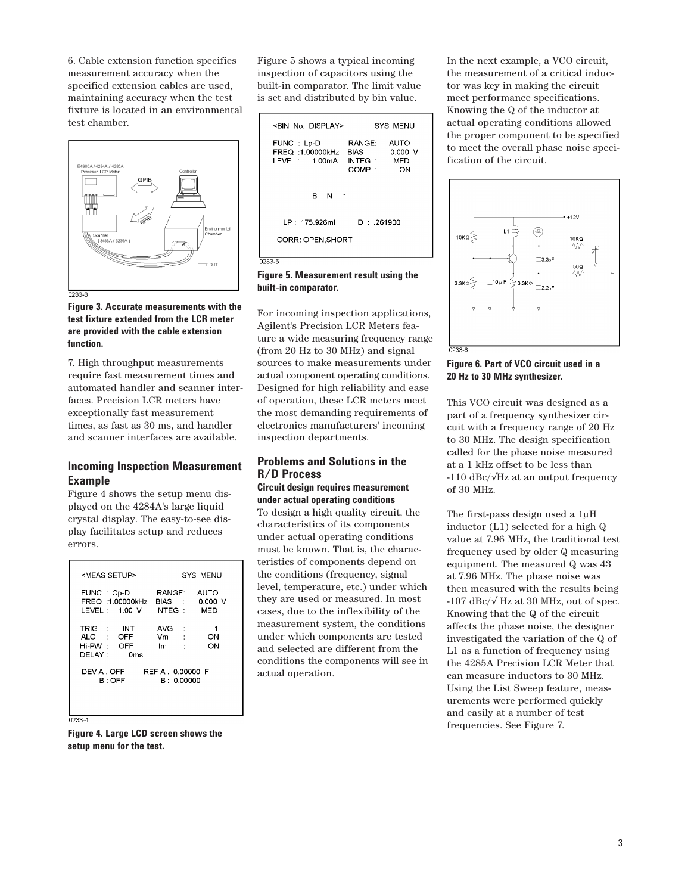6. Cable extension function specifies measurement accuracy when the specified extension cables are used, maintaining accuracy when the test fixture is located in an environmental test chamber.



**Figure 3. Accurate measurements with the test fixture extended from the LCR meter are provided with the cable extension function.**

7. High throughput measurements require fast measurement times and automated handler and scanner interfaces. Precision LCR meters have exceptionally fast measurement times, as fast as 30 ms, and handler and scanner interfaces are available.

## **Incoming lnspection Measurement Example**

Figure 4 shows the setup menu displayed on the 4284A's large liquid crystal display. The easy-to-see display facilitates setup and reduces errors.

| <meas setup=""></meas>                                                         | SYS MENU                                                    |  |  |  |  |
|--------------------------------------------------------------------------------|-------------------------------------------------------------|--|--|--|--|
| FUNC: Cp-D<br>FREQ :1.00000kHz<br>LEVEL: 1.00 V                                | RANGE:<br>AUTO<br>0.000V<br>BIAS :<br>INTEG :<br><b>MED</b> |  |  |  |  |
| TRIG :<br><b>INT</b><br>ALC : OFF<br>Hi-PW: OFF<br>DFI AY ·<br>0 <sub>ms</sub> | AVG:<br>1<br>Vm<br>$\sim 100$<br>ON<br>ON<br>lm             |  |  |  |  |
| <b>DEV A : OFF</b><br>REF A: 0.00000 F<br>B: 0.00000<br>B:OFF                  |                                                             |  |  |  |  |
|                                                                                |                                                             |  |  |  |  |

0233-4

**Figure 4. Large LCD screen shows the setup menu for the test.**

Figure 5 shows a typical incoming inspection of capacitors using the built-in comparator. The limit value is set and distributed by bin value.

| <bin display="" no.=""><br/>SYS MENU</bin>                                                                                   |  |  |  |  |
|------------------------------------------------------------------------------------------------------------------------------|--|--|--|--|
| FUNC: Lp-D<br>RANGE:<br>AUTO<br>FREQ: 1.00000kHz<br>BIAS :<br>0.000V<br>IFVFI 100mA<br>INTEG :<br><b>MED</b><br>COMP :<br>ON |  |  |  |  |
| <b>BIN</b> 1                                                                                                                 |  |  |  |  |
| I P + 175 926mH<br>D 261900<br>CORR: OPEN.SHORT                                                                              |  |  |  |  |
|                                                                                                                              |  |  |  |  |

**Figure 5. Measurement result using the built-in comparator.**

0233-F

For incoming inspection applications, Agilent's Precision LCR Meters feature a wide measuring frequency range (from 20 Hz to 30 MHz) and signal sources to make measurements under actual component operating conditions. Designed for high reliability and ease of operation, these LCR meters meet the most demanding requirements of electronics manufacturers' incoming inspection departments.

## **Problems and Solutions in the R/D Process**

#### **Circuit design requires measurement under actual operating conditions**

To design a high quality circuit, the characteristics of its components under actual operating conditions must be known. That is, the characteristics of components depend on the conditions (frequency, signal level, temperature, etc.) under which they are used or measured. In most cases, due to the inflexibility of the measurement system, the conditions under which components are tested and selected are different from the conditions the components will see in actual operation.

In the next example, a VCO circuit, the measurement of a critical inductor was key in making the circuit meet performance specifications. Knowing the Q of the inductor at actual operating conditions allowed the proper component to be specified to meet the overall phase noise specification of the circuit.



#### **Figure 6. Part of VCO circuit used in a 20 Hz to 30 MHz synthesizer.**

This VCO circuit was designed as a part of a frequency synthesizer circuit with a frequency range of 20 Hz to 30 MHz. The design specification called for the phase noise measured at a 1 kHz offset to be less than -110 dBc/√Hz at an output frequency of 30 MHz.

The first-pass design used a 1µH inductor (L1) selected for a high Q value at 7.96 MHz, the traditional test frequency used by older Q measuring equipment. The measured Q was 43 at 7.96 MHz. The phase noise was then measured with the results being -107 dBc/ $\sqrt{$  Hz at 30 MHz, out of spec. Knowing that the Q of the circuit affects the phase noise, the designer investigated the variation of the Q of L1 as a function of frequency using the 4285A Precision LCR Meter that can measure inductors to 30 MHz. Using the List Sweep feature, measurements were performed quickly and easily at a number of test frequencies. See Figure 7.